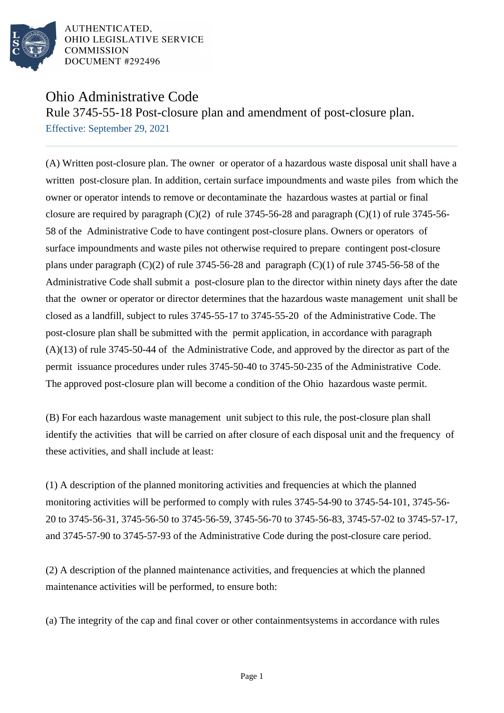

AUTHENTICATED. OHIO LEGISLATIVE SERVICE **COMMISSION** DOCUMENT #292496

## Ohio Administrative Code

Rule 3745-55-18 Post-closure plan and amendment of post-closure plan. Effective: September 29, 2021

(A) Written post-closure plan. The owner or operator of a hazardous waste disposal unit shall have a written post-closure plan. In addition, certain surface impoundments and waste piles from which the owner or operator intends to remove or decontaminate the hazardous wastes at partial or final closure are required by paragraph  $(C)(2)$  of rule 3745-56-28 and paragraph  $(C)(1)$  of rule 3745-56-58 of the Administrative Code to have contingent post-closure plans. Owners or operators of surface impoundments and waste piles not otherwise required to prepare contingent post-closure plans under paragraph  $(C)(2)$  of rule 3745-56-28 and paragraph  $(C)(1)$  of rule 3745-56-58 of the Administrative Code shall submit a post-closure plan to the director within ninety days after the date that the owner or operator or director determines that the hazardous waste management unit shall be closed as a landfill, subject to rules 3745-55-17 to 3745-55-20 of the Administrative Code. The post-closure plan shall be submitted with the permit application, in accordance with paragraph (A)(13) of rule 3745-50-44 of the Administrative Code, and approved by the director as part of the permit issuance procedures under rules 3745-50-40 to 3745-50-235 of the Administrative Code. The approved post-closure plan will become a condition of the Ohio hazardous waste permit.

(B) For each hazardous waste management unit subject to this rule, the post-closure plan shall identify the activities that will be carried on after closure of each disposal unit and the frequency of these activities, and shall include at least:

 $(1)$  A description of the planned monitoring activities and frequencies at which the planned monitoring activities will be performed to comply with rules 3745-54-90 to 3745-54-101, 3745-56-20 to 3745-56-31, 3745-56-50 to 3745-56-59, 3745-56-70 to 3745-56-83, 3745-57-02 to 3745-57-17, and 3745-57-90 to 3745-57-93 of the Administrative Code during the post-closure care period.

 $(2)$  A description of the planned maintenance activities, and frequencies at which the planned maintenance activities will be performed, to ensure both:

(a) The integrity of the cap and final cover or other containment systems in accordance with rules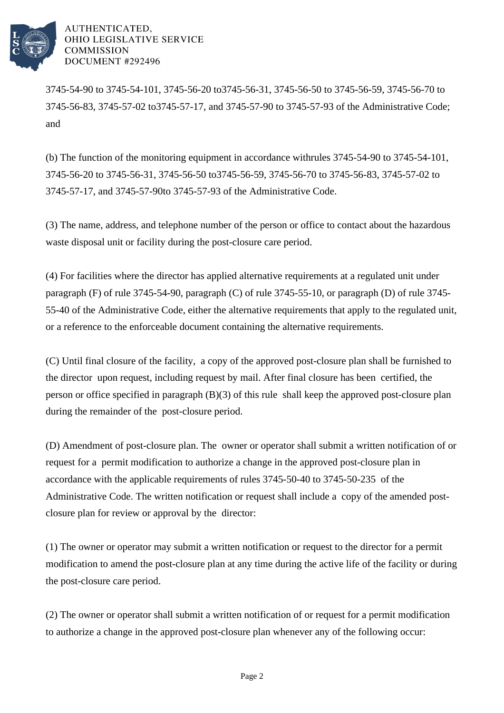

AUTHENTICATED. OHIO LEGISLATIVE SERVICE **COMMISSION** DOCUMENT #292496

3745-54-90 to 3745-54-101, 3745-56-20 to 3745-56-31, 3745-56-50 to 3745-56-59, 3745-56-70 to 3745-56-83, 3745-57-02 to 3745-57-17, and 3745-57-90 to 3745-57-93 of the Administrative Code; and

(b) The function of the monitoring equipment in accordance with rules  $3745-54-90$  to  $3745-54-101$ , 3745-56-20 to 3745-56-31, 3745-56-50 to 3745-56-59, 3745-56-70 to 3745-56-83, 3745-57-02 to 3745-57-17, and 3745-57-90 to 3745-57-93 of the Administrative Code.

(3) The name, address, and telephone number of the person or office to contact about the hazardous waste disposal unit or facility during the post-closure care period.

(4) For facilities where the director has applied alternative requirements at a regulated unit under paragraph (F) of rule 3745-54-90, paragraph (C) of rule 3745-55-10, or paragraph (D) of rule 3745-55-40 of the Administrative Code, either the alternative requirements that apply to the regulated unit, or a reference to the enforceable document containing the alternative requirements.

(C) Until final closure of the facility, a copy of the approved post-closure plan shall be furnished to the director upon request, including request by mail. After final closure has been certified, the person or office specified in paragraph (B)(3) of this rule shall keep the approved post-closure plan during the remainder of the post-closure period.

(D) Amendment of post-closure plan. The owner or operator shall submit a written notification of or request for a permit modification to authorize a change in the approved post-closure plan in accordance with the applicable requirements of rules 3745-50-40 to 3745-50-235 of the Administrative Code. The written notification or request shall include a copy of the amended postclosure plan for review or approval by the director:

(1) The owner or operator may submit a written notification or request to the director for a permit modification to amend the post-closure plan at any time during the active life of the facility or during the post-closure care period.

(2) The owner or operator shall submit a written notification of or request for a permit modification to authorize a change in the approved post-closure plan whenever any of the following occur: